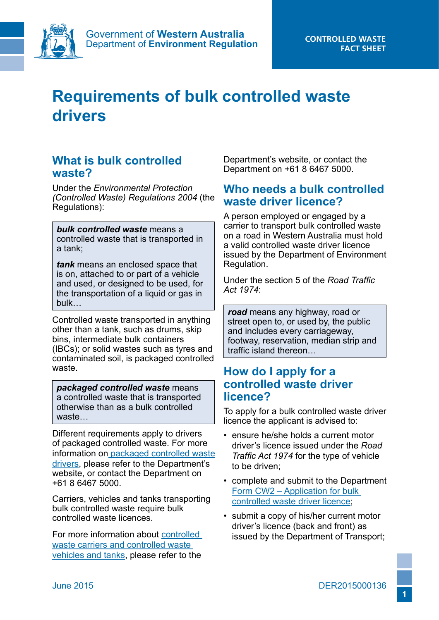

# **Requirements of bulk controlled waste drivers**

## **What is bulk controlled waste?**

Under the *Environmental Protection (Controlled Waste) Regulations 2004* (the Regulations):

*bulk controlled waste* means a controlled waste that is transported in a tank;

*tank* means an enclosed space that is on, attached to or part of a vehicle and used, or designed to be used, for the transportation of a liquid or gas in bulk…

Controlled waste transported in anything other than a tank, such as drums, skip bins, intermediate bulk containers (IBCs); or solid wastes such as tyres and contaminated soil, is packaged controlled waste.

*packaged controlled waste* means a controlled waste that is transported otherwise than as a bulk controlled waste…

Different requirements apply to drivers of packaged controlled waste. For more information on [packaged controlled waste](http://www.der.wa.gov.au/our-work/controlled-waste/137-fact-sheets)  [drivers,](http://www.der.wa.gov.au/our-work/controlled-waste/137-fact-sheets) please refer to the Department's website, or contact the Department on +61 8 6467 5000.

Carriers, vehicles and tanks transporting bulk controlled waste require bulk controlled waste licences.

For more information about [controlled](http://www.der.wa.gov.au/our-work/controlled-waste/137-fact-sheets)  [waste carriers and controlled waste](http://www.der.wa.gov.au/our-work/controlled-waste/137-fact-sheets)  [vehicles and tanks,](http://www.der.wa.gov.au/our-work/controlled-waste/137-fact-sheets) please refer to the

Department's website, or contact the Department on +61 8 6467 5000.

### **Who needs a bulk controlled waste driver licence?**

A person employed or engaged by a carrier to transport bulk controlled waste on a road in Western Australia must hold a valid controlled waste driver licence issued by the Department of Environment Regulation.

Under the section 5 of the *Road Traffic Act 1974*:

*road* means any highway, road or street open to, or used by, the public and includes every carriageway, footway, reservation, median strip and traffic island thereon…

### **How do I apply for a controlled waste driver licence?**

To apply for a bulk controlled waste driver licence the applicant is advised to:

- ensure he/she holds a current motor driver's licence issued under the *Road Traffic Act 1974* for the type of vehicle to be driven;
- complete and submit to the Department [Form CW2 – Application for bulk](http://www.der.wa.gov.au/our-work/controlled-waste/138-forms-and-materials)  [controlled waste driver licence](http://www.der.wa.gov.au/our-work/controlled-waste/138-forms-and-materials);
- submit a copy of his/her current motor driver's licence (back and front) as issued by the Department of Transport;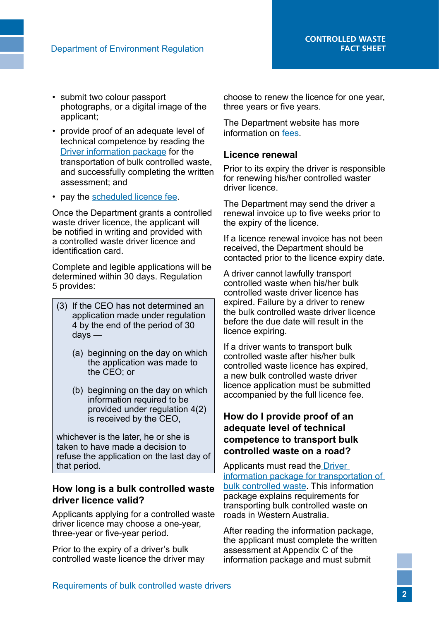- submit two colour passport photographs, or a digital image of the applicant;
- provide proof of an adequate level of technical competence by reading the [Driver information package](http://www.der.wa.gov.au/our-work/controlled-waste/140-guidelines) for the transportation of bulk controlled waste, and successfully completing the written assessment; and
- pay the [scheduled licence fee](http://www.der.wa.gov.au/our-work/controlled-waste/139-fees).

Once the Department grants a controlled waste driver licence, the applicant will be notified in writing and provided with a controlled waste driver licence and identification card.

Complete and legible applications will be determined within 30 days. Regulation 5 provides:

- (3) If the CEO has not determined an application made under regulation 4 by the end of the period of 30 days —
	- (a) beginning on the day on which the application was made to the CEO; or
	- (b) beginning on the day on which information required to be provided under regulation 4(2) is received by the CEO,

whichever is the later, he or she is taken to have made a decision to refuse the application on the last day of that period.

#### **How long is a bulk controlled waste driver licence valid?**

Applicants applying for a controlled waste driver licence may choose a one-year, three-year or five-year period.

Prior to the expiry of a driver's bulk controlled waste licence the driver may

choose to renew the licence for one year, three years or five years.

The Department website has more information on [fees](http://www.der.wa.gov.au/our-work/controlled-waste/139-fees).

#### **Licence renewal**

Prior to its expiry the driver is responsible for renewing his/her controlled waster driver licence.

The Department may send the driver a renewal invoice up to five weeks prior to the expiry of the licence.

If a licence renewal invoice has not been received, the Department should be contacted prior to the licence expiry date.

A driver cannot lawfully transport controlled waste when his/her bulk controlled waste driver licence has expired. Failure by a driver to renew the bulk controlled waste driver licence before the due date will result in the licence expiring.

If a driver wants to transport bulk controlled waste after his/her bulk controlled waste licence has expired, a new bulk controlled waste driver licence application must be submitted accompanied by the full licence fee.

### **How do I provide proof of an adequate level of technical competence to transport bulk controlled waste on a road?**

Applicants must read th[e Driver](http://www.der.wa.gov.au/our-work/controlled-waste/140-guidelines)  [information package for transportation of](http://www.der.wa.gov.au/our-work/controlled-waste/140-guidelines)  [bulk controlled waste](http://www.der.wa.gov.au/our-work/controlled-waste/140-guidelines). This information package explains requirements for transporting bulk controlled waste on roads in Western Australia.

After reading the information package, the applicant must complete the written assessment at Appendix C of the information package and must submit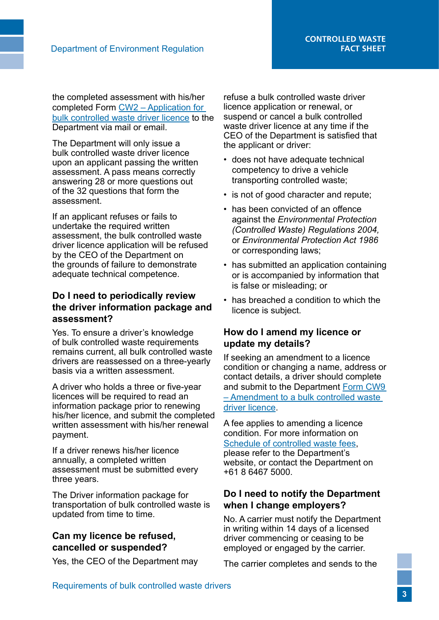the completed assessment with his/her completed Form [CW2 – Application for](http://www.der.wa.gov.au/our-work/controlled-waste/138-forms-and-materials)  [bulk controlled waste driver licence](http://www.der.wa.gov.au/our-work/controlled-waste/138-forms-and-materials) to the Department via mail or email.

The Department will only issue a bulk controlled waste driver licence upon an applicant passing the written assessment. A pass means correctly answering 28 or more questions out of the 32 questions that form the assessment.

If an applicant refuses or fails to undertake the required written assessment, the bulk controlled waste driver licence application will be refused by the CEO of the Department on the grounds of failure to demonstrate adequate technical competence.

#### **Do I need to periodically review the driver information package and assessment?**

Yes. To ensure a driver's knowledge of bulk controlled waste requirements remains current, all bulk controlled waste drivers are reassessed on a three-yearly basis via a written assessment.

A driver who holds a three or five-year licences will be required to read an information package prior to renewing his/her licence, and submit the completed written assessment with his/her renewal payment.

If a driver renews his/her licence annually, a completed written assessment must be submitted every three years.

The Driver information package for transportation of bulk controlled waste is updated from time to time.

### **Can my licence be refused, cancelled or suspended?**

Yes, the CEO of the Department may

refuse a bulk controlled waste driver licence application or renewal, or suspend or cancel a bulk controlled waste driver licence at any time if the CEO of the Department is satisfied that the applicant or driver:

- does not have adequate technical competency to drive a vehicle transporting controlled waste;
- is not of good character and repute;
- has been convicted of an offence against the *Environmental Protection (Controlled Waste) Regulations 2004,*  or *Environmental Protection Act 1986*  or corresponding laws;
- has submitted an application containing or is accompanied by information that is false or misleading; or
- has breached a condition to which the licence is subject.

### **How do I amend my licence or update my details?**

If seeking an amendment to a licence condition or changing a name, address or contact details, a driver should complete and submit to the Department [Form CW9](http://www.der.wa.gov.au/our-work/controlled-waste/138-forms-and-materials)  [– Amendment to a bulk controlled waste](http://www.der.wa.gov.au/our-work/controlled-waste/138-forms-and-materials)  [driver licence.](http://www.der.wa.gov.au/our-work/controlled-waste/138-forms-and-materials)

A fee applies to amending a licence condition. For more information on [Schedule of controlled waste fees,](http://www.der.wa.gov.au/our-work/controlled-waste/139-fees) please refer to the Department's website, or contact the Department on +61 8 6467 5000.

### **Do I need to notify the Department when I change employers?**

No. A carrier must notify the Department in writing within 14 days of a licensed driver commencing or ceasing to be employed or engaged by the carrier.

The carrier completes and sends to the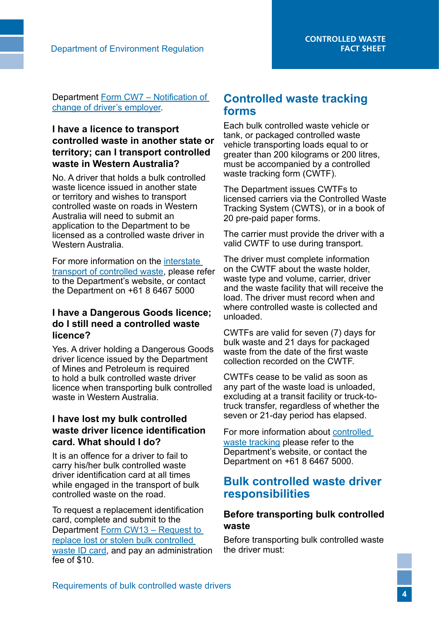Department [Form CW7 – Notification of](http://www.der.wa.gov.au/our-work/controlled-waste/138-forms-and-materials)  [change of driver's employer.](http://www.der.wa.gov.au/our-work/controlled-waste/138-forms-and-materials)

### **I have a licence to transport controlled waste in another state or territory; can I transport controlled waste in Western Australia?**

No. A driver that holds a bulk controlled waste licence issued in another state or territory and wishes to transport controlled waste on roads in Western Australia will need to submit an application to the Department to be licensed as a controlled waste driver in Western Australia.

For more information on the [interstate](http://www.der.wa.gov.au/our-work/controlled-waste/137-fact-sheets)  [transport of controlled waste,](http://www.der.wa.gov.au/our-work/controlled-waste/137-fact-sheets) please refer to the Department's website, or contact the Department on +61 8 6467 5000

#### **I have a Dangerous Goods licence; do I still need a controlled waste licence?**

Yes. A driver holding a Dangerous Goods driver licence issued by the Department of Mines and Petroleum is required to hold a bulk controlled waste driver licence when transporting bulk controlled waste in Western Australia.

#### **I have lost my bulk controlled waste driver licence identification card. What should I do?**

It is an offence for a driver to fail to carry his/her bulk controlled waste driver identification card at all times while engaged in the transport of bulk controlled waste on the road.

To request a replacement identification card, complete and submit to the Department [Form CW13 – Request to](http://www.der.wa.gov.au/our-work/controlled-waste/138-forms-and-materials)  [replace lost or stolen bulk controlled](http://www.der.wa.gov.au/our-work/controlled-waste/138-forms-and-materials)  [waste ID card](http://www.der.wa.gov.au/our-work/controlled-waste/138-forms-and-materials), and pay an administration fee of \$10.

### **Controlled waste tracking forms**

Each bulk controlled waste vehicle or tank, or packaged controlled waste vehicle transporting loads equal to or greater than 200 kilograms or 200 litres, must be accompanied by a controlled waste tracking form (CWTF).

The Department issues CWTFs to licensed carriers via the Controlled Waste Tracking System (CWTS), or in a book of 20 pre-paid paper forms.

The carrier must provide the driver with a valid CWTF to use during transport.

The driver must complete information on the CWTF about the waste holder, waste type and volume, carrier, driver and the waste facility that will receive the load. The driver must record when and where controlled waste is collected and unloaded.

CWTFs are valid for seven (7) days for bulk waste and 21 days for packaged waste from the date of the first waste collection recorded on the CWTF.

CWTFs cease to be valid as soon as any part of the waste load is unloaded, excluding at a transit facility or truck-totruck transfer, regardless of whether the seven or 21-day period has elapsed.

For more information about [controlled](http://www.der.wa.gov.au/our-work/controlled-waste/137-fact-sheets)  [waste tracking](http://www.der.wa.gov.au/our-work/controlled-waste/137-fact-sheets) please refer to the Department's website, or contact the Department on +61 8 6467 5000.

### **Bulk controlled waste driver responsibilities**

### **Before transporting bulk controlled waste**

Before transporting bulk controlled waste the driver must: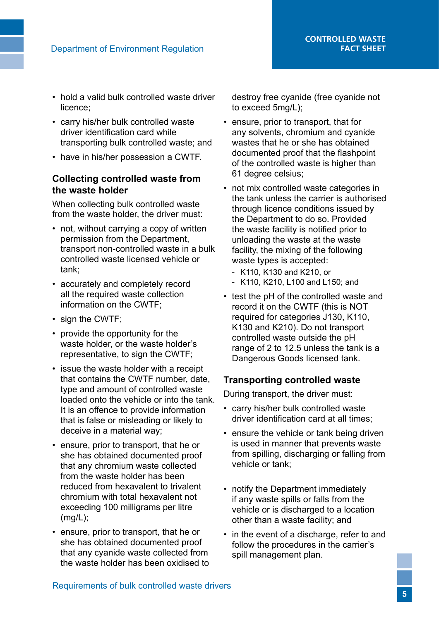- hold a valid bulk controlled waste driver licence;
- carry his/her bulk controlled waste driver identification card while transporting bulk controlled waste; and
- have in his/her possession a CWTF.

### **Collecting controlled waste from the waste holder**

When collecting bulk controlled waste from the waste holder, the driver must:

- not, without carrying a copy of written permission from the Department, transport non-controlled waste in a bulk controlled waste licensed vehicle or tank;
- accurately and completely record all the required waste collection information on the CWTF;
- sign the CWTF;
- provide the opportunity for the waste holder, or the waste holder's representative, to sign the CWTF;
- issue the waste holder with a receipt that contains the CWTF number, date, type and amount of controlled waste loaded onto the vehicle or into the tank. It is an offence to provide information that is false or misleading or likely to deceive in a material way;
- ensure, prior to transport, that he or she has obtained documented proof that any chromium waste collected from the waste holder has been reduced from hexavalent to trivalent chromium with total hexavalent not exceeding 100 milligrams per litre (mg/L);
- ensure, prior to transport, that he or she has obtained documented proof that any cyanide waste collected from the waste holder has been oxidised to

destroy free cyanide (free cyanide not to exceed 5mg/L);

- ensure, prior to transport, that for any solvents, chromium and cyanide wastes that he or she has obtained documented proof that the flashpoint of the controlled waste is higher than 61 degree celsius;
- not mix controlled waste categories in the tank unless the carrier is authorised through licence conditions issued by the Department to do so. Provided the waste facility is notified prior to unloading the waste at the waste facility, the mixing of the following waste types is accepted:
	- K110, K130 and K210, or
	- K110, K210, L100 and L150; and
- test the pH of the controlled waste and record it on the CWTF (this is NOT required for categories J130, K110, K130 and K210). Do not transport controlled waste outside the pH range of 2 to 12.5 unless the tank is a Dangerous Goods licensed tank.

### **Transporting controlled waste**

During transport, the driver must:

- carry his/her bulk controlled waste driver identification card at all times;
- ensure the vehicle or tank being driven is used in manner that prevents waste from spilling, discharging or falling from vehicle or tank;
- notify the Department immediately if any waste spills or falls from the vehicle or is discharged to a location other than a waste facility; and
- in the event of a discharge, refer to and follow the procedures in the carrier's spill management plan.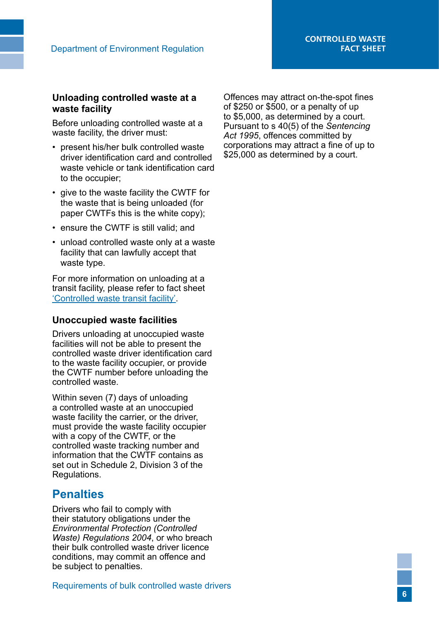### **Unloading controlled waste at a waste facility**

Before unloading controlled waste at a waste facility, the driver must:

- present his/her bulk controlled waste driver identification card and controlled waste vehicle or tank identification card to the occupier;
- give to the waste facility the CWTF for the waste that is being unloaded (for paper CWTFs this is the white copy);
- ensure the CWTF is still valid; and
- unload controlled waste only at a waste facility that can lawfully accept that waste type.

For more information on unloading at a transit facility, please refer to fact sheet ['Controlled waste transit facility'](http://www.der.wa.gov.au/our-work/controlled-waste/137-fact-sheets).

#### **Unoccupied waste facilities**

Drivers unloading at unoccupied waste facilities will not be able to present the controlled waste driver identification card to the waste facility occupier, or provide the CWTF number before unloading the controlled waste.

Within seven (7) days of unloading a controlled waste at an unoccupied waste facility the carrier, or the driver, must provide the waste facility occupier with a copy of the CWTF, or the controlled waste tracking number and information that the CWTF contains as set out in Schedule 2, Division 3 of the Regulations.

# **Penalties**

Drivers who fail to comply with their statutory obligations under the *Environmental Protection (Controlled Waste) Regulations 2004*, or who breach their bulk controlled waste driver licence conditions, may commit an offence and be subject to penalties.

Offences may attract on-the-spot fines of \$250 or \$500, or a penalty of up to \$5,000, as determined by a court. Pursuant to s 40(5) of the *Sentencing Act 1995*, offences committed by corporations may attract a fine of up to \$25,000 as determined by a court.